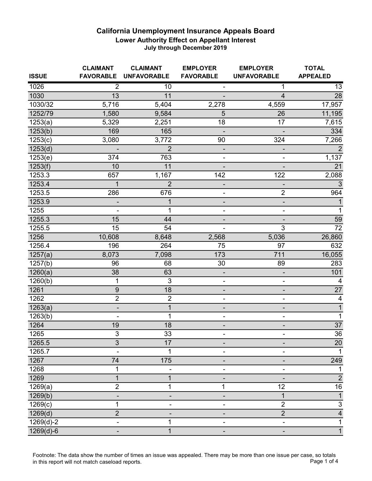| <b>ISSUE</b>         | <b>CLAIMANT</b><br><b>FAVORABLE</b> | <b>CLAIMANT</b><br><b>UNFAVORABLE</b> | <b>EMPLOYER</b><br><b>FAVORABLE</b> | <b>EMPLOYER</b><br><b>UNFAVORABLE</b> | <b>TOTAL</b><br><b>APPEALED</b> |
|----------------------|-------------------------------------|---------------------------------------|-------------------------------------|---------------------------------------|---------------------------------|
| 1026                 | $\overline{2}$                      | 10                                    |                                     | 1                                     | 13                              |
| 1030                 | 13                                  | 11                                    |                                     | 4                                     | 28                              |
| 1030/32              | 5,716                               | 5,404                                 | 2,278                               | 4,559                                 | 17,957                          |
| 1252/79              | 1,580                               | 9,584                                 | 5                                   | 26                                    | 11,195                          |
| 1253(a)              | 5,329                               | 2,251                                 | 18                                  | 17                                    | 7,615                           |
| 1253(b)              | 169                                 | 165                                   |                                     |                                       | 334                             |
| $\overline{1}253(c)$ | 3,080                               | 3,772                                 | 90                                  | 324                                   | 7,266                           |
| 1253(d)              |                                     | $\overline{2}$                        | ٠                                   | -                                     | 2                               |
| 1253(e)              | 374                                 | 763                                   | ۰                                   | -                                     | 1,137                           |
| 1253(f)              | 10                                  | 11                                    |                                     |                                       | 21                              |
| 1253.3               | 657                                 | 1,167                                 | 142                                 | 122                                   | 2,088                           |
| 1253.4               | $\overline{1}$                      | $\overline{2}$                        | $\overline{\phantom{0}}$            |                                       | $\mathfrak{Z}$                  |
| 1253.5               | 286                                 | 676                                   | ۰                                   | $\overline{\mathbf{c}}$               | 964                             |
| 1253.9               |                                     | 1                                     | $\overline{\phantom{m}}$            | $\blacksquare$                        | $\mathbf{1}$                    |
| 1255                 |                                     | 1                                     | $\qquad \qquad \blacksquare$        | $\blacksquare$                        | $\mathbf 1$                     |
| 1255.3               | 15                                  | 44                                    | -                                   |                                       | 59                              |
| 1255.5               | 15                                  | 54                                    |                                     | 3                                     | $\overline{72}$                 |
| 1256                 | 10,608                              | 8,648                                 | 2,568                               | 5,036                                 | 26,860                          |
| 1256.4               | 196                                 | 264                                   | 75                                  | 97                                    | 632                             |
| 1257(a)              | 8,073                               | 7,098                                 | 173                                 | 711                                   | 16,055                          |
| $\overline{1}257(b)$ | 96                                  | 68                                    | 30                                  | 89                                    | 283                             |
| 1260(a)              | 38                                  | 63                                    |                                     |                                       | 101                             |
| 1260(b)              | 1                                   | 3                                     | ۰                                   |                                       | 4                               |
| 1261                 | 9                                   | 18                                    | $\qquad \qquad \blacksquare$        | $\overline{\phantom{a}}$              | $\overline{27}$                 |
| 1262                 | $\overline{2}$                      | $\overline{2}$                        | ۰                                   | ۰                                     | 4                               |
| 1263(a)              | $\overline{\phantom{0}}$            | 1                                     | $\overline{\phantom{0}}$            | $\overline{a}$                        | $\mathbf{1}$                    |
| 1263(b)              |                                     | 1                                     | ۰                                   | ۰                                     | $\mathbf 1$                     |
| 1264                 | 19                                  | 18                                    |                                     |                                       | $\overline{37}$                 |
| 1265                 | $\overline{3}$                      | 33                                    |                                     |                                       | $\overline{36}$                 |
| 1265.5               | 3                                   | 17                                    | ۰                                   | $\qquad \qquad \blacksquare$          | 20                              |
| 1265.7               |                                     | 1                                     |                                     |                                       | $\blacktriangleleft$            |
| 1267                 | 74                                  | 175                                   | -                                   |                                       | $\overline{249}$                |
| 1268                 | 1                                   |                                       | ۰                                   |                                       | 1                               |
| 1269                 | 1                                   | 1                                     |                                     |                                       | $\overline{c}$                  |
| 1269(a)              | $\overline{2}$                      | 1                                     | 1                                   | 12                                    | 16                              |
| 1269(b)              |                                     |                                       |                                     | $\mathbf 1$                           | $\mathbf{1}$                    |
| 1269(c)              | 1                                   |                                       | -                                   | $\overline{2}$                        | $\ensuremath{\mathsf{3}}$       |
| 1269(d)              | $\overline{2}$                      |                                       |                                     | $\overline{2}$                        | $\overline{\mathbf{4}}$         |
| $1269(d)-2$          | ۰                                   | 1                                     |                                     | ۰                                     | $\mathbf 1$                     |
| $1269(d)-6$          |                                     | 1                                     |                                     |                                       | $\mathbf{1}$                    |

Footnote: The data show the number of times an issue was appealed. There may be more than one issue per case, so totals in this report will not match caseload reports. Page 1 of 4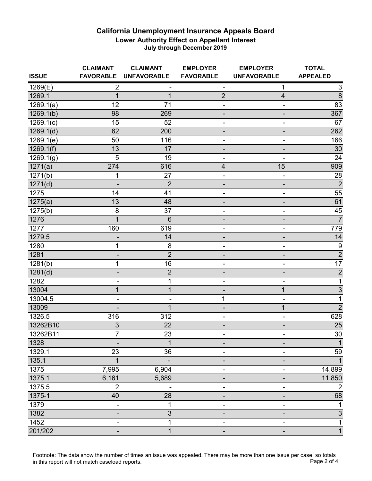| <b>ISSUE</b>            | <b>CLAIMANT</b><br><b>FAVORABLE</b> | <b>CLAIMANT</b><br><b>UNFAVORABLE</b> | <b>EMPLOYER</b><br><b>FAVORABLE</b> | <b>EMPLOYER</b><br><b>UNFAVORABLE</b> | <b>TOTAL</b><br><b>APPEALED</b> |
|-------------------------|-------------------------------------|---------------------------------------|-------------------------------------|---------------------------------------|---------------------------------|
| 1269(E)                 | $\overline{2}$                      |                                       | $\overline{\phantom{a}}$            | 1                                     | 3                               |
| 1269.1                  | $\overline{1}$                      | $\mathbf{1}$                          | $\overline{2}$                      | $\overline{4}$                        | $\overline{8}$                  |
| $\overline{1269.1(a)}$  | 12                                  | 71                                    | $\overline{\phantom{0}}$            |                                       | 83                              |
| 1269.1(b)               | 98                                  | 269                                   |                                     |                                       | 367                             |
| $\overline{1269}.1(c)$  | 15                                  | 52                                    | ۰                                   |                                       | 67                              |
| $\overline{1269.1}$ (d) | 62                                  | 200                                   | $\overline{\phantom{m}}$            |                                       | 262                             |
| 1269.1(e)               | 50                                  | 116                                   | ۰                                   |                                       | 166                             |
| 1269.1(f)               | 13                                  | 17                                    | -                                   |                                       | 30                              |
| $\overline{1}269.1(g)$  | 5                                   | 19                                    |                                     |                                       | 24                              |
| 1271(a)                 | 274                                 | 616                                   | $\overline{\mathbf{4}}$             | 15                                    | 909                             |
| $\overline{1}271(b)$    | 1                                   | 27                                    | $\overline{\phantom{a}}$            |                                       | 28                              |
| 1271(d)                 |                                     | $\overline{2}$                        | -                                   |                                       | $\overline{2}$                  |
| 1275                    | 14                                  | 41                                    | ۰                                   |                                       | 55                              |
| 1275(a)                 | 13                                  | 48                                    |                                     |                                       | 61                              |
| 1275(b)                 | 8                                   | 37                                    | -                                   |                                       | 45                              |
| 1276                    | $\overline{1}$                      | $6\phantom{1}6$                       |                                     |                                       | $\overline{7}$                  |
| 1277                    | 160                                 | 619                                   |                                     |                                       | 779                             |
| 1279.5                  |                                     | 14                                    |                                     |                                       | 14                              |
| 1280                    | 1                                   | 8                                     | $\overline{\phantom{0}}$            |                                       | $\boldsymbol{9}$                |
| 1281                    | -                                   | $\overline{2}$                        | -                                   |                                       | $\overline{2}$                  |
| 1281(b)                 | 1                                   | 16                                    | $\overline{a}$                      |                                       | $\overline{17}$                 |
| 1281(d)                 |                                     | $\overline{2}$                        |                                     |                                       | $\mathbf{2}$                    |
| 1282                    |                                     | 1                                     |                                     |                                       | $\mathbf 1$                     |
| 13004                   | $\mathbf{1}$                        | 1                                     |                                     | $\mathbf 1$                           | $\overline{3}$                  |
| 13004.5                 | $\blacksquare$                      |                                       | 1                                   | $\overline{\phantom{a}}$              | 1                               |
| 13009                   |                                     | $\mathbf 1$                           | -                                   | $\mathbf 1$                           | $\overline{2}$                  |
| 1326.5                  | 316                                 | 312                                   |                                     | -                                     | 628                             |
| 13262B10                | 3                                   | 22                                    |                                     |                                       | 25                              |
| 13262B11                | $\overline{7}$                      | 23                                    |                                     |                                       | $\overline{30}$                 |
| 1328                    |                                     | 1                                     | -                                   |                                       | 1                               |
| 1329.1                  | 23                                  | 36                                    |                                     |                                       | 59                              |
| 135.1                   | $\overline{1}$                      | $\qquad \qquad \blacksquare$          | -                                   |                                       |                                 |
| 1375                    | 7,995                               | 6,904                                 |                                     |                                       | 14,899                          |
| 1375.1                  | 6,161                               | 5,689                                 |                                     |                                       | 11,850                          |
| 1375.5                  | $\overline{2}$                      |                                       |                                     |                                       | $\overline{2}$                  |
| 1375-1                  | 40                                  | 28                                    |                                     |                                       | 68                              |
| 1379                    | $\overline{\phantom{a}}$            | 1                                     | -                                   |                                       | 1                               |
| 1382                    |                                     | 3                                     |                                     |                                       | $\ensuremath{\mathsf{3}}$       |
| 1452                    |                                     | 1                                     |                                     |                                       | 1                               |
| 201/202                 | $\qquad \qquad \blacksquare$        | 1                                     | -                                   |                                       | $\mathbf{1}$                    |

Footnote: The data show the number of times an issue was appealed. There may be more than one issue per case, so totals in this report will not match caseload reports. Page 2 of 4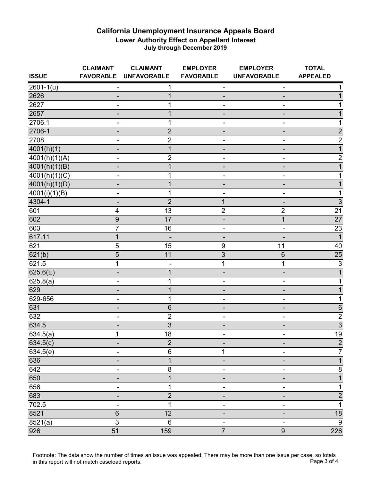| <b>ISSUE</b>               | <b>CLAIMANT</b><br><b>FAVORABLE</b> | <b>CLAIMANT</b><br><b>UNFAVORABLE</b> | <b>EMPLOYER</b><br><b>FAVORABLE</b> | <b>EMPLOYER</b><br><b>UNFAVORABLE</b> | <b>TOTAL</b><br><b>APPEALED</b> |
|----------------------------|-------------------------------------|---------------------------------------|-------------------------------------|---------------------------------------|---------------------------------|
| $\overline{2601} - 1(u)$   | $\overline{\phantom{a}}$            | 1                                     | ۰                                   | ۰                                     |                                 |
| 2626                       |                                     | 1                                     |                                     |                                       |                                 |
| 2627                       |                                     |                                       |                                     |                                       |                                 |
| 2657                       |                                     | 1                                     |                                     |                                       |                                 |
| 2706.1                     |                                     | 1                                     |                                     |                                       |                                 |
| 2706-1                     | -                                   | $\overline{2}$                        | -                                   |                                       | $\overline{2}$                  |
| 2708                       | $\overline{\phantom{0}}$            | $\overline{2}$                        | -                                   |                                       | $\overline{2}$                  |
| 4001(h)(1)                 |                                     | $\mathbf 1$                           |                                     |                                       | $\mathbf{1}$                    |
| $\sqrt{4001(h)(1)(A)}$     |                                     | $\overline{2}$                        |                                     |                                       | $\overline{c}$                  |
| 4001(h)(1)(B)              |                                     |                                       |                                     |                                       |                                 |
| 4001(h)(1)(C)              |                                     |                                       |                                     |                                       |                                 |
| 4001(h)(1)(D)              |                                     |                                       |                                     |                                       |                                 |
| $\overline{4001(i)(1)(B)}$ |                                     | 1                                     |                                     |                                       |                                 |
| 4304-1                     |                                     | $\overline{2}$                        | 1                                   |                                       | $\overline{3}$                  |
| 601                        | 4                                   | 13                                    | $\overline{2}$                      | $\overline{\mathbf{c}}$               | $\overline{21}$                 |
| 602                        | $\boldsymbol{9}$                    | 17                                    |                                     | $\mathbf{1}$                          | $\overline{27}$                 |
| 603                        | $\overline{7}$                      | 16                                    |                                     |                                       | $\overline{23}$                 |
| 617.11                     | 1                                   |                                       |                                     |                                       | $\overline{1}$                  |
| 621                        | 5                                   | 15                                    | $\boldsymbol{9}$                    | 11                                    | 40                              |
| 621(b)                     | $\overline{5}$                      | 11                                    | $\overline{3}$                      | 6                                     | $\overline{25}$                 |
| 621.5                      | 1                                   |                                       | $\mathbf 1$                         | 1                                     | $\overline{3}$                  |
| 625.6(E)                   |                                     |                                       |                                     |                                       |                                 |
| 625.8(a)                   |                                     | 1                                     |                                     |                                       |                                 |
| 629                        |                                     |                                       |                                     |                                       |                                 |
| 629-656                    | -                                   | 1                                     |                                     |                                       |                                 |
| 631                        |                                     | 6                                     |                                     |                                       | 6                               |
| 632                        |                                     | $\overline{2}$                        |                                     |                                       | $\overline{2}$                  |
| 634.5                      |                                     | 3                                     |                                     |                                       | $\overline{3}$                  |
| $\sqrt{634.5(a)}$          | 1                                   | 18                                    |                                     |                                       | 19                              |
| 634.5(c)                   | $\blacksquare$                      | $\overline{2}$                        |                                     |                                       | $\overline{2}$                  |
| 634.5(e)                   |                                     | $\,6$                                 | 1                                   |                                       | 7                               |
| 636                        | -                                   | 1                                     | -                                   |                                       | $\mathbf{1}$                    |
| 642                        | $\blacksquare$                      | 8                                     | -                                   |                                       | $\overline{8}$                  |
| 650                        |                                     | $\mathbf 1$                           |                                     |                                       | 1                               |
| $65\overline{6}$           |                                     | 1                                     |                                     |                                       | 1                               |
| 683                        |                                     | $\overline{2}$                        |                                     |                                       | $\overline{2}$                  |
| 702.5                      | $\blacksquare$                      | 1                                     | Ξ.                                  |                                       | 1                               |
| 8521                       | 6                                   | 12                                    |                                     |                                       | 18                              |
| 8521(a)                    | $\overline{3}$                      | $\,6$                                 |                                     |                                       | $9\,$                           |
| 926                        | $\overline{51}$                     | 159                                   | $\overline{7}$                      | $\boldsymbol{9}$                      | 226                             |

Footnote: The data show the number of times an issue was appealed. There may be more than one issue per case, so totals in this report will not match caseload reports. Page 3 of 4